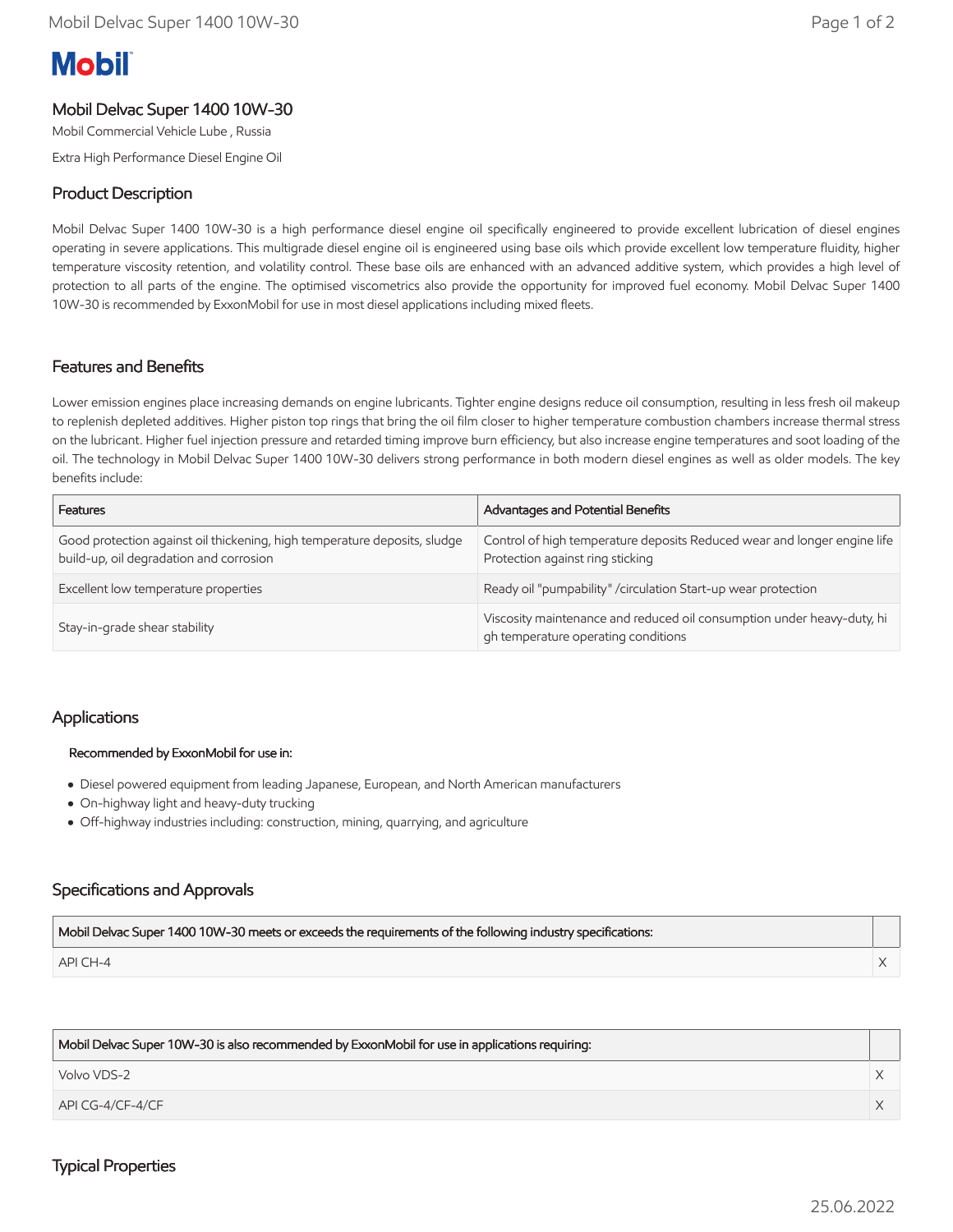# **Mobil**

# Mobil Delvac Super 1400 10W-30

Mobil Commercial Vehicle Lube , Russia

Extra High Performance Diesel Engine Oil

# Product Description

Mobil Delvac Super 1400 10W-30 is a high performance diesel engine oil specifically engineered to provide excellent lubrication of diesel engines operating in severe applications. This multigrade diesel engine oil is engineered using base oils which provide excellent low temperature fluidity, higher temperature viscosity retention, and volatility control. These base oils are enhanced with an advanced additive system, which provides a high level of protection to all parts of the engine. The optimised viscometrics also provide the opportunity for improved fuel economy. Mobil Delvac Super 1400 10W-30 is recommended by ExxonMobil for use in most diesel applications including mixed fleets.

## Features and Benefits

Lower emission engines place increasing demands on engine lubricants. Tighter engine designs reduce oil consumption, resulting in less fresh oil makeup to replenish depleted additives. Higher piston top rings that bring the oil film closer to higher temperature combustion chambers increase thermal stress on the lubricant. Higher fuel injection pressure and retarded timing improve burn efficiency, but also increase engine temperatures and soot loading of the oil. The technology in Mobil Delvac Super 1400 10W-30 delivers strong performance in both modern diesel engines as well as older models. The key benefits include:

| Features                                                                                                             | Advantages and Potential Benefits                                                                             |
|----------------------------------------------------------------------------------------------------------------------|---------------------------------------------------------------------------------------------------------------|
| Good protection against oil thickening, high temperature deposits, sludge<br>build-up, oil degradation and corrosion | Control of high temperature deposits Reduced wear and longer engine life<br>Protection against ring sticking  |
| Excellent low temperature properties                                                                                 | Ready oil "pumpability" / circulation Start-up wear protection                                                |
| Stay-in-grade shear stability                                                                                        | Viscosity maintenance and reduced oil consumption under heavy-duty, hi<br>gh temperature operating conditions |

## Applications

## Recommended by ExxonMobil for use in:

- Diesel powered equipment from leading Japanese, European, and North American manufacturers
- On-highway light and heavy-duty trucking
- Off-highway industries including: construction, mining, quarrying, and agriculture

## Specifications and Approvals

| Mobil Delvac Super 1400 10W-30 meets or exceeds the requirements of the following industry specifications: |  |
|------------------------------------------------------------------------------------------------------------|--|
| API CH-4                                                                                                   |  |

| Mobil Delvac Super 10W-30 is also recommended by ExxonMobil for use in applications requiring: |  |
|------------------------------------------------------------------------------------------------|--|
| Volvo VDS-2                                                                                    |  |
| $APICG-4/CF-4/CF$                                                                              |  |